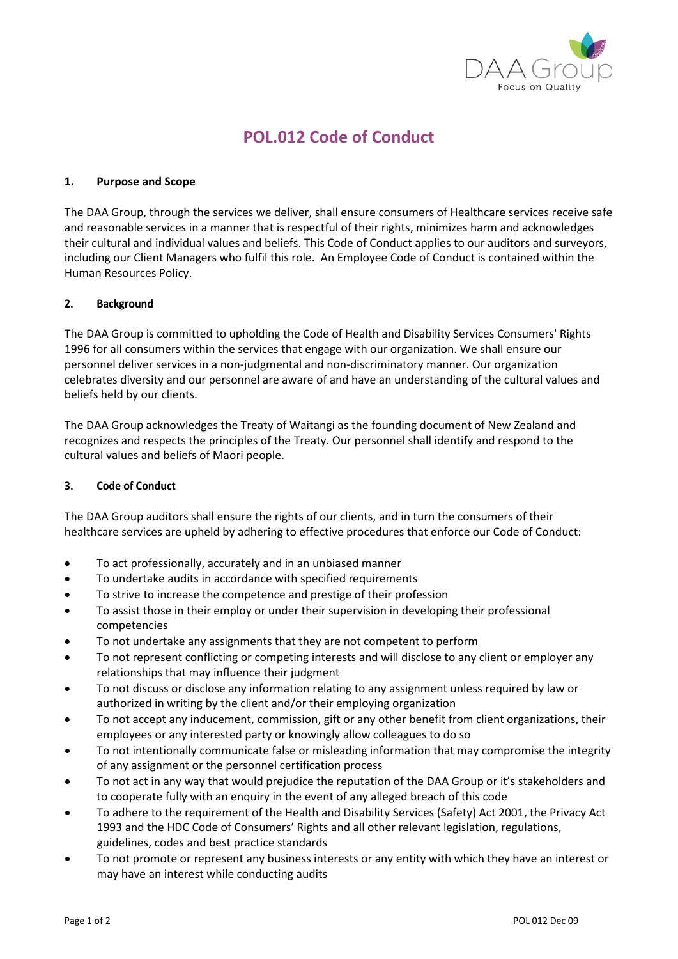

# **POL.012 Code of Conduct**

### **1. Purpose and Scope**

The DAA Group, through the services we deliver, shall ensure consumers of Healthcare services receive safe and reasonable services in a manner that is respectful of their rights, minimizes harm and acknowledges their cultural and individual values and beliefs. This Code of Conduct applies to our auditors and surveyors, including our Client Managers who fulfil this role. An Employee Code of Conduct is contained within the Human Resources Policy.

# **2. Background**

The DAA Group is committed to upholding the Code of Health and Disability Services Consumers' Rights 1996 for all consumers within the services that engage with our organization. We shall ensure our personnel deliver services in a non-judgmental and non-discriminatory manner. Our organization celebrates diversity and our personnel are aware of and have an understanding of the cultural values and beliefs held by our clients.

The DAA Group acknowledges the Treaty of Waitangi as the founding document of New Zealand and recognizes and respects the principles of the Treaty. Our personnel shall identify and respond to the cultural values and beliefs of Maori people.

### **3. Code of Conduct**

The DAA Group auditors shall ensure the rights of our clients, and in turn the consumers of their healthcare services are upheld by adhering to effective procedures that enforce our Code of Conduct:

- To act professionally, accurately and in an unbiased manner
- To undertake audits in accordance with specified requirements
- To strive to increase the competence and prestige of their profession
- To assist those in their employ or under their supervision in developing their professional competencies
- To not undertake any assignments that they are not competent to perform
- To not represent conflicting or competing interests and will disclose to any client or employer any relationships that may influence their judgment
- To not discuss or disclose any information relating to any assignment unless required by law or authorized in writing by the client and/or their employing organization
- To not accept any inducement, commission, gift or any other benefit from client organizations, their employees or any interested party or knowingly allow colleagues to do so
- To not intentionally communicate false or misleading information that may compromise the integrity of any assignment or the personnel certification process
- To not act in any way that would prejudice the reputation of the DAA Group or it's stakeholders and to cooperate fully with an enquiry in the event of any alleged breach of this code
- To adhere to the requirement of the Health and Disability Services (Safety) Act 2001, the Privacy Act 1993 and the HDC Code of Consumers' Rights and all other relevant legislation, regulations, guidelines, codes and best practice standards
- To not promote or represent any business interests or any entity with which they have an interest or may have an interest while conducting audits